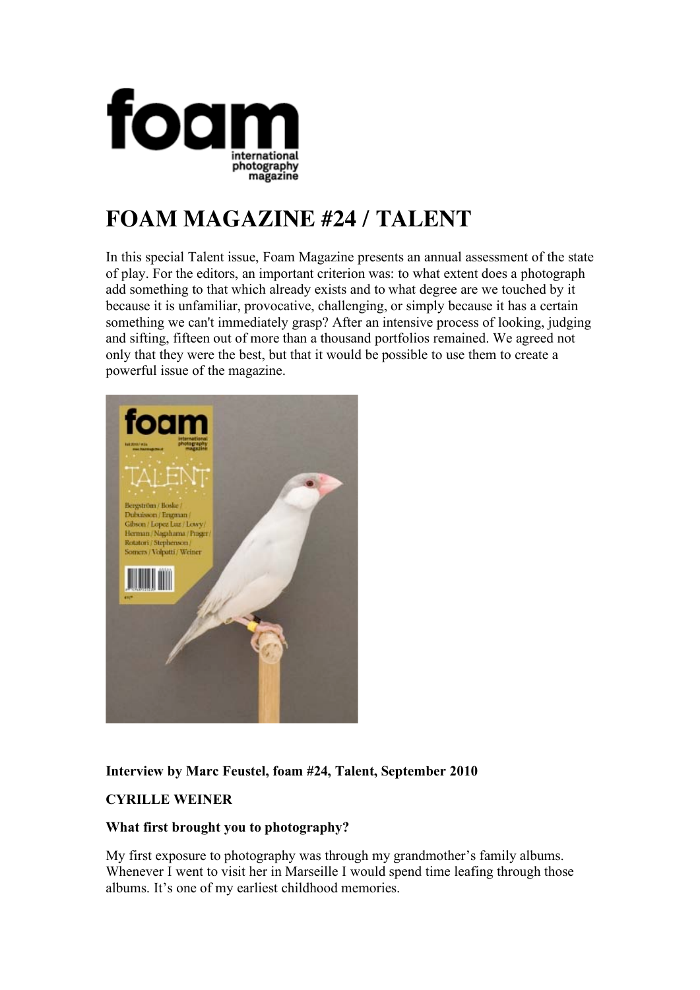

# **FOAM MAGAZINE #24 / TALENT**

In this special Talent issue, Foam Magazine presents an annual assessment of the state of play. For the editors, an important criterion was: to what extent does a photograph add something to that which already exists and to what degree are we touched by it because it is unfamiliar, provocative, challenging, or simply because it has a certain something we can't immediately grasp? After an intensive process of looking, judging and sifting, fifteen out of more than a thousand portfolios remained. We agreed not only that they were the best, but that it would be possible to use them to create a powerful issue of the magazine.



# **Interview by Marc Feustel, foam #24, Talent, September 2010**

# **CYRILLE WEINER**

## **What first brought you to photography?**

My first exposure to photography was through my grandmother's family albums. Whenever I went to visit her in Marseille I would spend time leafing through those albums. It's one of my earliest childhood memories.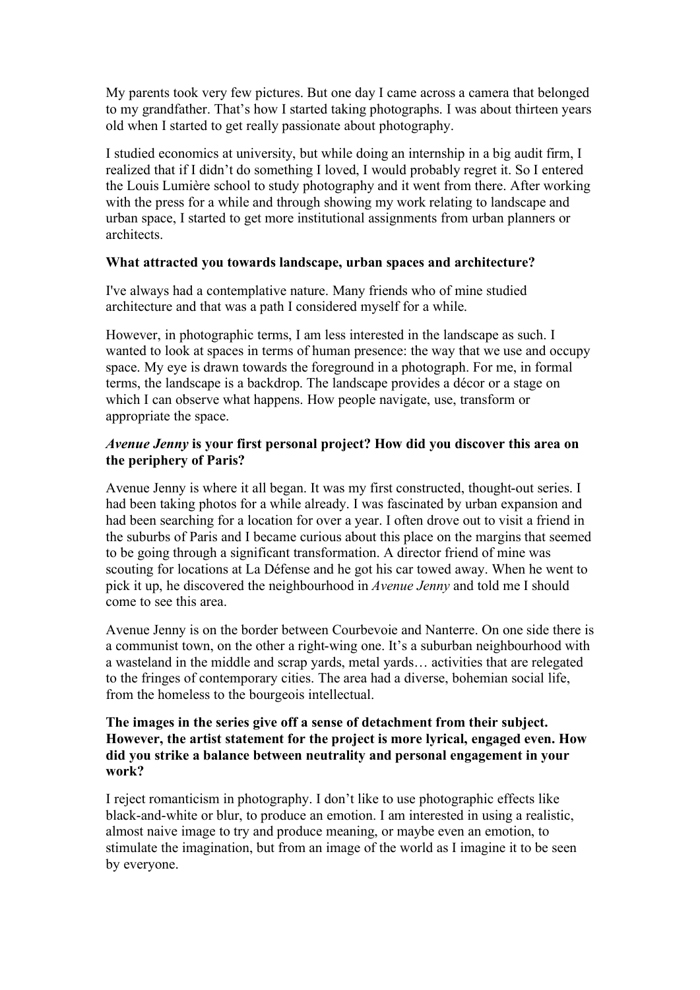My parents took very few pictures. But one day I came across a camera that belonged to my grandfather. That's how I started taking photographs. I was about thirteen years old when I started to get really passionate about photography.

I studied economics at university, but while doing an internship in a big audit firm, I realized that if I didn't do something I loved, I would probably regret it. So I entered the Louis Lumière school to study photography and it went from there. After working with the press for a while and through showing my work relating to landscape and urban space, I started to get more institutional assignments from urban planners or architects.

#### **What attracted you towards landscape, urban spaces and architecture?**

I've always had a contemplative nature. Many friends who of mine studied architecture and that was a path I considered myself for a while.

However, in photographic terms, I am less interested in the landscape as such. I wanted to look at spaces in terms of human presence: the way that we use and occupy space. My eye is drawn towards the foreground in a photograph. For me, in formal terms, the landscape is a backdrop. The landscape provides a décor or a stage on which I can observe what happens. How people navigate, use, transform or appropriate the space.

#### *Avenue Jenny* **is your first personal project? How did you discover this area on the periphery of Paris?**

Avenue Jenny is where it all began. It was my first constructed, thought-out series. I had been taking photos for a while already. I was fascinated by urban expansion and had been searching for a location for over a year. I often drove out to visit a friend in the suburbs of Paris and I became curious about this place on the margins that seemed to be going through a significant transformation. A director friend of mine was scouting for locations at La Défense and he got his car towed away. When he went to pick it up, he discovered the neighbourhood in *Avenue Jenny* and told me I should come to see this area.

Avenue Jenny is on the border between Courbevoie and Nanterre. On one side there is a communist town, on the other a right-wing one. It's a suburban neighbourhood with a wasteland in the middle and scrap yards, metal yards… activities that are relegated to the fringes of contemporary cities. The area had a diverse, bohemian social life, from the homeless to the bourgeois intellectual.

#### **The images in the series give off a sense of detachment from their subject. However, the artist statement for the project is more lyrical, engaged even. How did you strike a balance between neutrality and personal engagement in your work?**

I reject romanticism in photography. I don't like to use photographic effects like black-and-white or blur, to produce an emotion. I am interested in using a realistic, almost naive image to try and produce meaning, or maybe even an emotion, to stimulate the imagination, but from an image of the world as I imagine it to be seen by everyone.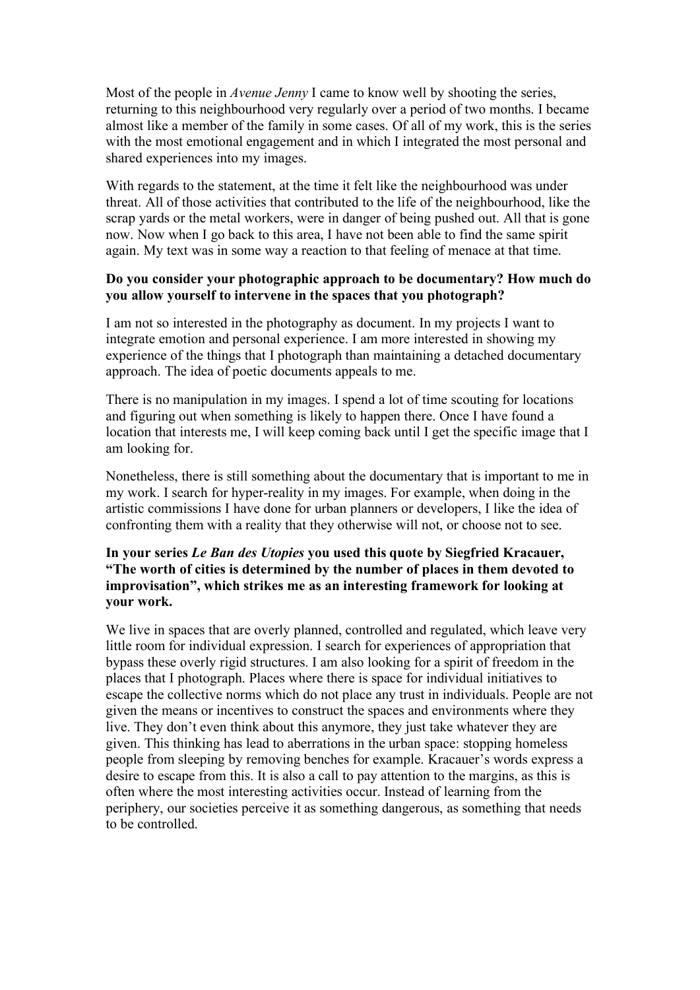Most of the people in *Avenue Jenny* I came to know well by shooting the series, returning to this neighbourhood very regularly over a period of two months. I became almost like a member of the family in some cases. Of all of my work, this is the series with the most emotional engagement and in which I integrated the most personal and shared experiences into my images.

With regards to the statement, at the time it felt like the neighbourhood was under threat. All of those activities that contributed to the life of the neighbourhood, like the scrap yards or the metal workers, were in danger of being pushed out. All that is gone now. Now when I go back to this area, I have not been able to find the same spirit again. My text was in some way a reaction to that feeling of menace at that time.

## **Do you consider your photographic approach to be documentary? How much do you allow yourself to intervene in the spaces that you photograph?**

I am not so interested in the photography as document. In my projects I want to integrate emotion and personal experience. I am more interested in showing my experience of the things that I photograph than maintaining a detached documentary approach. The idea of poetic documents appeals to me.

There is no manipulation in my images. I spend a lot of time scouting for locations and figuring out when something is likely to happen there. Once I have found a location that interests me, I will keep coming back until I get the specific image that I am looking for.

Nonetheless, there is still something about the documentary that is important to me in my work. I search for hyper-reality in my images. For example, when doing in the artistic commissions I have done for urban planners or developers, I like the idea of confronting them with a reality that they otherwise will not, or choose not to see.

#### **In your series** *Le Ban des Utopies* **you used this quote by Siegfried Kracauer, "The worth of cities is determined by the number of places in them devoted to improvisation", which strikes me as an interesting framework for looking at your work.**

We live in spaces that are overly planned, controlled and regulated, which leave very little room for individual expression. I search for experiences of appropriation that bypass these overly rigid structures. I am also looking for a spirit of freedom in the places that I photograph. Places where there is space for individual initiatives to escape the collective norms which do not place any trust in individuals. People are not given the means or incentives to construct the spaces and environments where they live. They don't even think about this anymore, they just take whatever they are given. This thinking has lead to aberrations in the urban space: stopping homeless people from sleeping by removing benches for example. Kracauer's words express a desire to escape from this. It is also a call to pay attention to the margins, as this is often where the most interesting activities occur. Instead of learning from the periphery, our societies perceive it as something dangerous, as something that needs to be controlled.